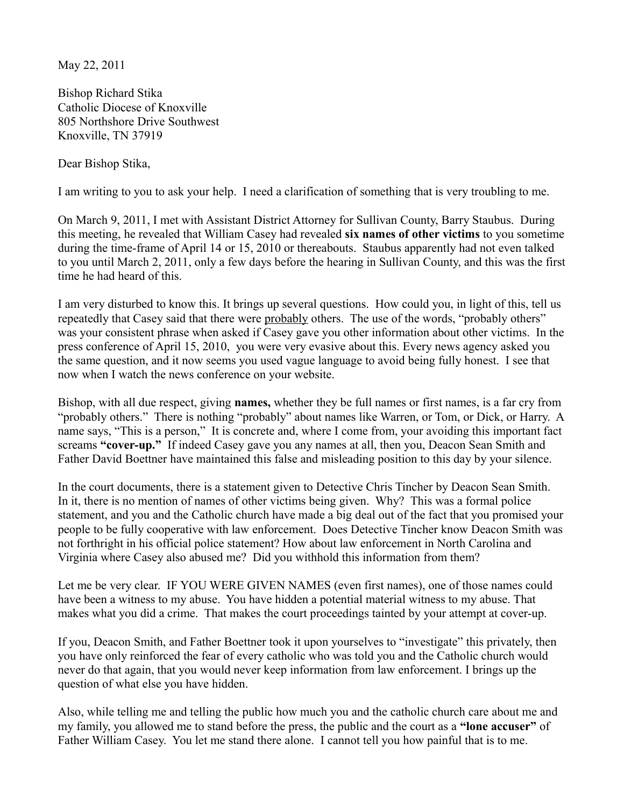May 22, 2011

Bishop Richard Stika Catholic Diocese of Knoxville 805 Northshore Drive Southwest Knoxville, TN 37919

Dear Bishop Stika,

I am writing to you to ask your help. I need a clarification of something that is very troubling to me.

On March 9, 2011, I met with Assistant District Attorney for Sullivan County, Barry Staubus. During this meeting, he revealed that William Casey had revealed **six names of other victims** to you sometime during the time-frame of April 14 or 15, 2010 or thereabouts. Staubus apparently had not even talked to you until March 2, 2011, only a few days before the hearing in Sullivan County, and this was the first time he had heard of this.

I am very disturbed to know this. It brings up several questions. How could you, in light of this, tell us repeatedly that Casey said that there were probably others. The use of the words, "probably others" was your consistent phrase when asked if Casey gave you other information about other victims. In the press conference of April 15, 2010, you were very evasive about this. Every news agency asked you the same question, and it now seems you used vague language to avoid being fully honest. I see that now when I watch the news conference on your website.

Bishop, with all due respect, giving **names,** whether they be full names or first names, is a far cry from "probably others." There is nothing "probably" about names like Warren, or Tom, or Dick, or Harry. A name says, "This is a person," It is concrete and, where I come from, your avoiding this important fact screams **"cover-up."** If indeed Casey gave you any names at all, then you, Deacon Sean Smith and Father David Boettner have maintained this false and misleading position to this day by your silence.

In the court documents, there is a statement given to Detective Chris Tincher by Deacon Sean Smith. In it, there is no mention of names of other victims being given. Why? This was a formal police statement, and you and the Catholic church have made a big deal out of the fact that you promised your people to be fully cooperative with law enforcement. Does Detective Tincher know Deacon Smith was not forthright in his official police statement? How about law enforcement in North Carolina and Virginia where Casey also abused me? Did you withhold this information from them?

Let me be very clear. IF YOU WERE GIVEN NAMES (even first names), one of those names could have been a witness to my abuse. You have hidden a potential material witness to my abuse. That makes what you did a crime. That makes the court proceedings tainted by your attempt at cover-up.

If you, Deacon Smith, and Father Boettner took it upon yourselves to "investigate" this privately, then you have only reinforced the fear of every catholic who was told you and the Catholic church would never do that again, that you would never keep information from law enforcement. I brings up the question of what else you have hidden.

Also, while telling me and telling the public how much you and the catholic church care about me and my family, you allowed me to stand before the press, the public and the court as a **"lone accuser"** of Father William Casey. You let me stand there alone. I cannot tell you how painful that is to me.